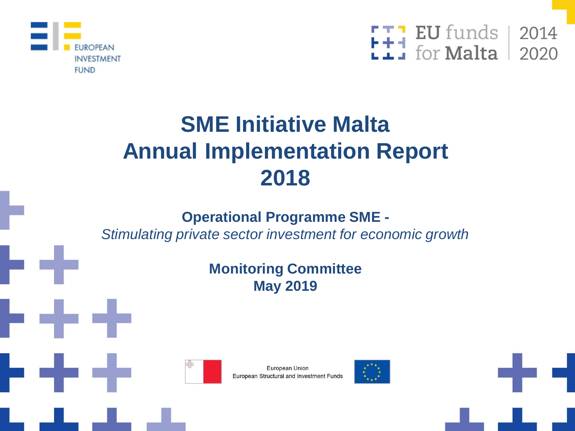



# **SME Initiative Malta Annual Implementation Report 2018**

## **Operational Programme SME -**

*Stimulating private sector investment for economic growth*

### **Monitoring Committee May 2019**





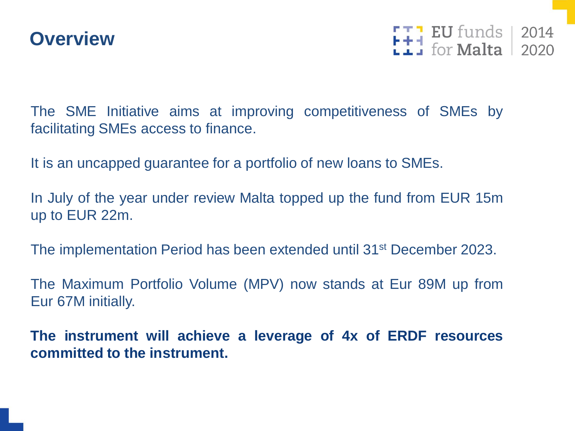

 $F + 1$  EU funds 2014

The SME Initiative aims at improving competitiveness of SMEs by facilitating SMEs access to finance.

It is an uncapped guarantee for a portfolio of new loans to SMEs.

In July of the year under review Malta topped up the fund from EUR 15m up to EUR 22m.

The implementation Period has been extended until 31st December 2023.

The Maximum Portfolio Volume (MPV) now stands at Eur 89M up from Eur 67M initially.

**The instrument will achieve a leverage of 4x of ERDF resources committed to the instrument.**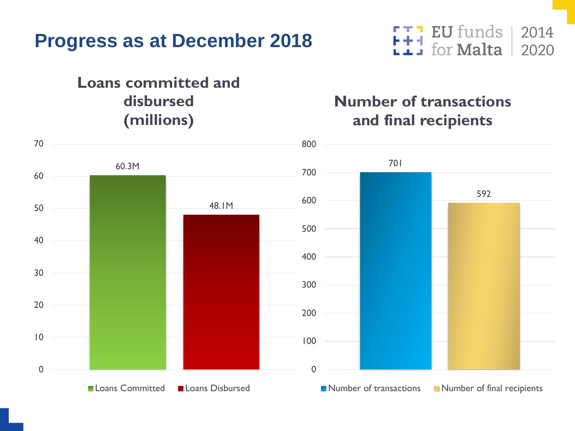

#### **Loans committed and disbursed (millions)**

#### **EU** funds 封 for **Malta**

### **Number of transactions and final recipients**

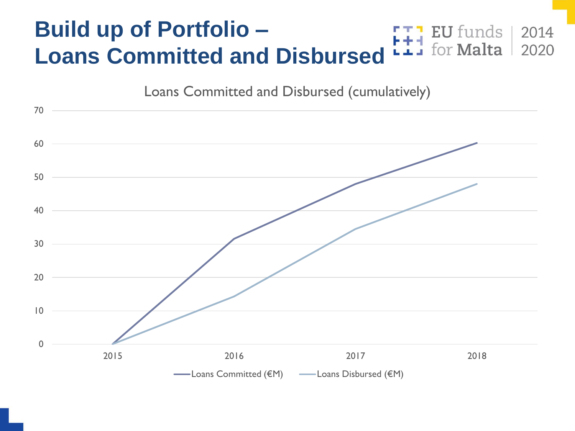#### **Build up of Portfolio – EU** funds for **Malta Loans Committed and Disbursed**

Loans Committed and Disbursed (cumulatively)

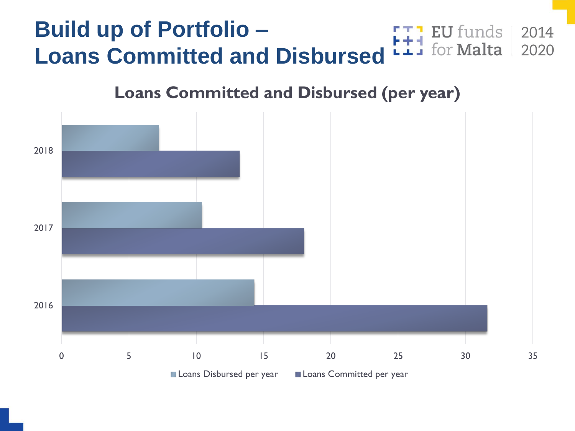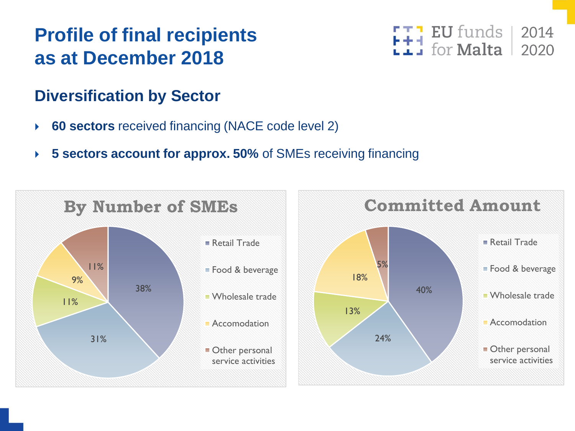# **Profile of final recipients as at December 2018**

## **Diversification by Sector**

- **60 sectors** received financing (NACE code level 2)
- **5 sectors account for approx. 50%** of SMEs receiving financing



 $EU$  funds  $|$ 2014 for **Malta** 2020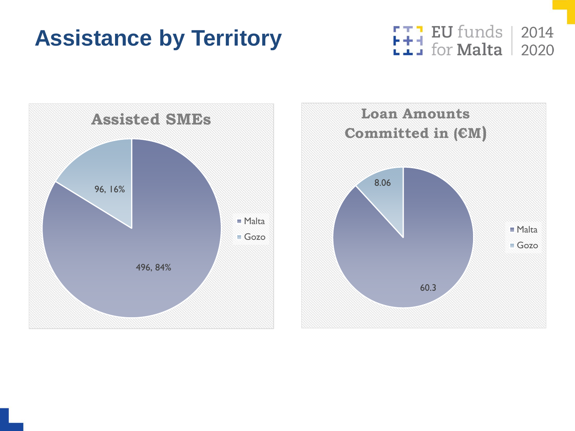# **Assistance by Territory**





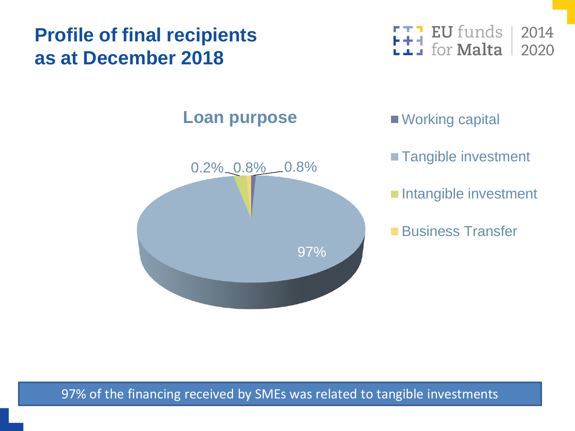# **Profile of final recipients as at December 2018**



### **Loan purpose** Working capital



- **Tangible investment**
- **Intangible investment**
- **Business Transfer**

97% of the financing received by SMEs was related to tangible investments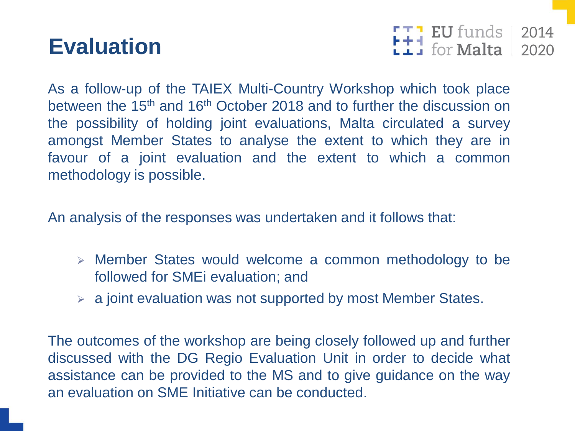# **Evaluation**



As a follow-up of the TAIEX Multi-Country Workshop which took place between the 15<sup>th</sup> and 16<sup>th</sup> October 2018 and to further the discussion on the possibility of holding joint evaluations, Malta circulated a survey amongst Member States to analyse the extent to which they are in favour of a joint evaluation and the extent to which a common methodology is possible.

An analysis of the responses was undertaken and it follows that:

- ➢ Member States would welcome a common methodology to be followed for SMEi evaluation; and
- $\triangleright$  a joint evaluation was not supported by most Member States.

The outcomes of the workshop are being closely followed up and further discussed with the DG Regio Evaluation Unit in order to decide what assistance can be provided to the MS and to give guidance on the way an evaluation on SME Initiative can be conducted.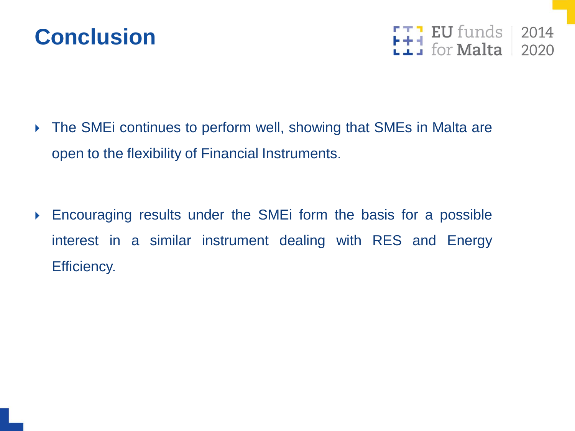



▶ The SMEi continues to perform well, showing that SMEs in Malta are open to the flexibility of Financial Instruments.

 Encouraging results under the SMEi form the basis for a possible interest in a similar instrument dealing with RES and Energy Efficiency.